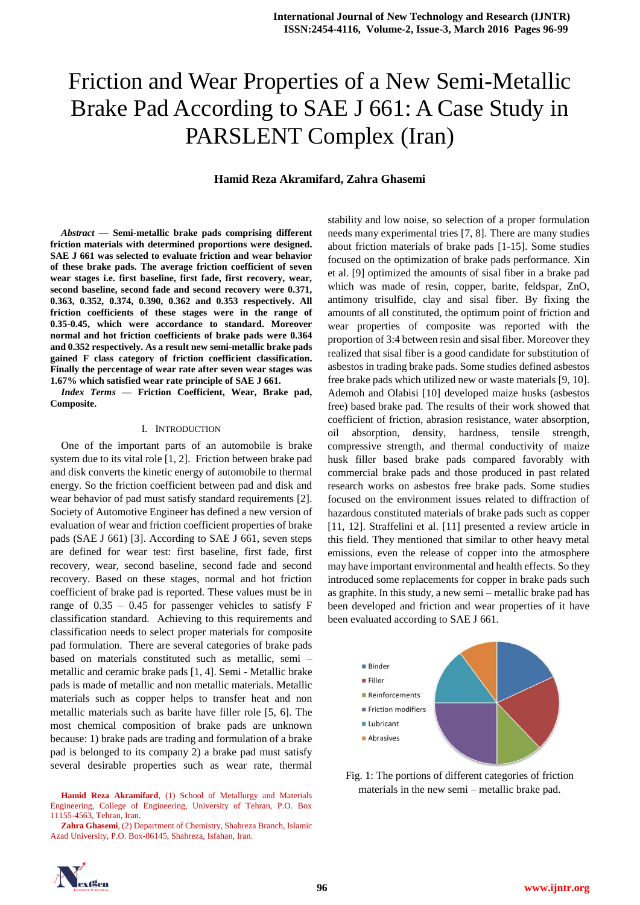# Friction and Wear Properties of a New Semi-Metallic Brake Pad According to SAE J 661: A Case Study in PARSLENT Complex (Iran)

### **Hamid Reza Akramifard, Zahra Ghasemi**

*Abstract* **— Semi-metallic brake pads comprising different friction materials with determined proportions were designed. SAE J 661 was selected to evaluate friction and wear behavior of these brake pads. The average friction coefficient of seven wear stages i.e. first baseline, first fade, first recovery, wear, second baseline, second fade and second recovery were 0.371, 0.363, 0.352, 0.374, 0.390, 0.362 and 0.353 respectively. All friction coefficients of these stages were in the range of 0.35-0.45, which were accordance to standard. Moreover normal and hot friction coefficients of brake pads were 0.364 and 0.352 respectively. As a result new semi-metallic brake pads gained F class category of friction coefficient classification. Finally the percentage of wear rate after seven wear stages was 1.67% which satisfied wear rate principle of SAE J 661.**

*Index Terms* **— Friction Coefficient, Wear, Brake pad, Composite.** 

#### I. INTRODUCTION

One of the important parts of an automobile is brake system due to its vital role [1, 2]. Friction between brake pad and disk converts the kinetic energy of automobile to thermal energy. So the friction coefficient between pad and disk and wear behavior of pad must satisfy standard requirements [2]. Society of Automotive Engineer has defined a new version of evaluation of wear and friction coefficient properties of brake pads (SAE J 661) [3]. According to SAE J 661, seven steps are defined for wear test: first baseline, first fade, first recovery, wear, second baseline, second fade and second recovery. Based on these stages, normal and hot friction coefficient of brake pad is reported. These values must be in range of  $0.35 - 0.45$  for passenger vehicles to satisfy F classification standard. Achieving to this requirements and classification needs to select proper materials for composite pad formulation. There are several categories of brake pads based on materials constituted such as metallic, semi – metallic and ceramic brake pads [1, 4]. Semi - Metallic brake pads is made of metallic and non metallic materials. Metallic materials such as copper helps to transfer heat and non metallic materials such as barite have filler role [5, 6]. The most chemical composition of brake pads are unknown because: 1) brake pads are trading and formulation of a brake pad is belonged to its company 2) a brake pad must satisfy several desirable properties such as wear rate, thermal

**Hamid Reza Akramifard**, (1) School of Metallurgy and Materials Engineering, College of Engineering, University of Tehran, P.O. Box 11155-4563, Tehran, Iran.

stability and low noise, so selection of a proper formulation needs many experimental tries [7, 8]. There are many studies about friction materials of brake pads [1-15]. Some studies focused on the optimization of brake pads performance. Xin et al. [9] optimized the amounts of sisal fiber in a brake pad which was made of resin, copper, barite, feldspar, ZnO, antimony trisulfide, clay and sisal fiber. By fixing the amounts of all constituted, the optimum point of friction and wear properties of composite was reported with the proportion of 3:4 between resin and sisal fiber. Moreover they realized that sisal fiber is a good candidate for substitution of asbestos in trading brake pads. Some studies defined asbestos free brake pads which utilized new or waste materials [9, 10]. Ademoh and Olabisi [10] developed maize husks (asbestos free) based brake pad. The results of their work showed that coefficient of friction, abrasion resistance, water absorption, oil absorption, density, hardness, tensile strength, compressive strength, and thermal conductivity of maize husk filler based brake pads compared favorably with commercial brake pads and those produced in past related research works on asbestos free brake pads. Some studies focused on the environment issues related to diffraction of hazardous constituted materials of brake pads such as copper [11, 12]. Straffelini et al. [11] presented a review article in this field. They mentioned that similar to other heavy metal emissions, even the release of copper into the atmosphere may have important environmental and health effects. So they introduced some replacements for copper in brake pads such as graphite. In this study, a new semi – metallic brake pad has been developed and friction and wear properties of it have been evaluated according to SAE J 661.



Fig. 1: The portions of different categories of friction materials in the new semi – metallic brake pad.



**Zahra Ghasemi**, (2) Department of Chemistry, Shahreza Branch, Islamic Azad University, P.O. Box-86145, Shahreza, Isfahan, Iran.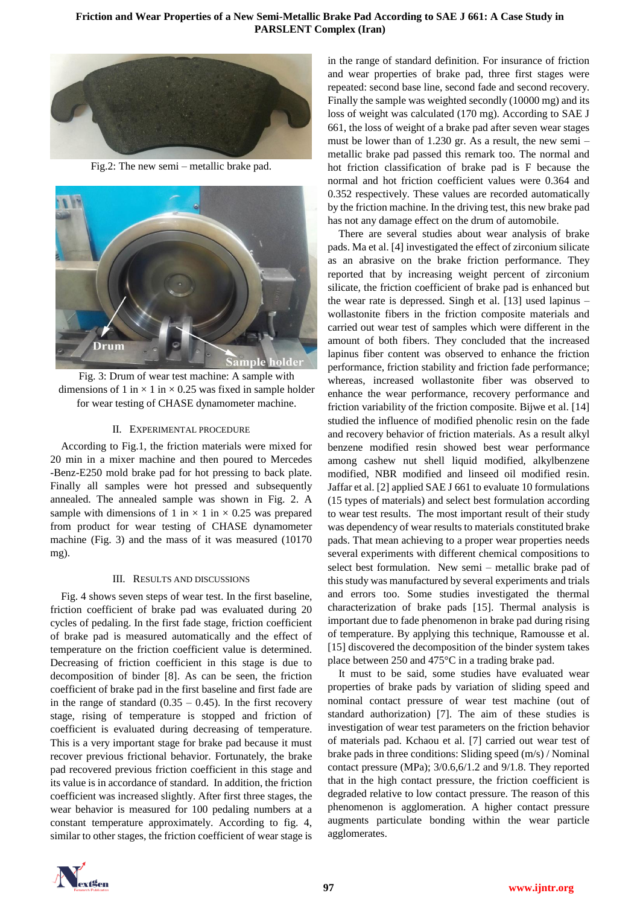## **Friction and Wear Properties of a New Semi-Metallic Brake Pad According to SAE J 661: A Case Study in PARSLENT Complex (Iran)**



Fig.2: The new semi – metallic brake pad.



Fig. 3: Drum of wear test machine: A sample with dimensions of 1 in  $\times$  1 in  $\times$  0.25 was fixed in sample holder for wear testing of CHASE dynamometer machine.

### II. EXPERIMENTAL PROCEDURE

According to Fig.1, the friction materials were mixed for 20 min in a mixer machine and then poured to Mercedes -Benz-E250 mold brake pad for hot pressing to back plate. Finally all samples were hot pressed and subsequently annealed. The annealed sample was shown in Fig. 2. A sample with dimensions of 1 in  $\times$  1 in  $\times$  0.25 was prepared from product for wear testing of CHASE dynamometer machine (Fig. 3) and the mass of it was measured (10170 mg).

#### III. RESULTS AND DISCUSSIONS

Fig. 4 shows seven steps of wear test. In the first baseline, friction coefficient of brake pad was evaluated during 20 cycles of pedaling. In the first fade stage, friction coefficient of brake pad is measured automatically and the effect of temperature on the friction coefficient value is determined. Decreasing of friction coefficient in this stage is due to decomposition of binder [8]. As can be seen, the friction coefficient of brake pad in the first baseline and first fade are in the range of standard  $(0.35 - 0.45)$ . In the first recovery stage, rising of temperature is stopped and friction of coefficient is evaluated during decreasing of temperature. This is a very important stage for brake pad because it must recover previous frictional behavior. Fortunately, the brake pad recovered previous friction coefficient in this stage and its value is in accordance of standard. In addition, the friction coefficient was increased slightly. After first three stages, the wear behavior is measured for 100 pedaling numbers at a constant temperature approximately. According to fig. 4, similar to other stages, the friction coefficient of wear stage is

in the range of standard definition. For insurance of friction and wear properties of brake pad, three first stages were repeated: second base line, second fade and second recovery. Finally the sample was weighted secondly (10000 mg) and its loss of weight was calculated (170 mg). According to SAE J 661, the loss of weight of a brake pad after seven wear stages must be lower than of 1.230 gr. As a result, the new semi – metallic brake pad passed this remark too. The normal and hot friction classification of brake pad is F because the normal and hot friction coefficient values were 0.364 and 0.352 respectively. These values are recorded automatically by the friction machine. In the driving test, this new brake pad has not any damage effect on the drum of automobile.

There are several studies about wear analysis of brake pads. Ma et al. [4] investigated the effect of zirconium silicate as an abrasive on the brake friction performance. They reported that by increasing weight percent of zirconium silicate, the friction coefficient of brake pad is enhanced but the wear rate is depressed. Singh et al. [13] used lapinus – wollastonite fibers in the friction composite materials and carried out wear test of samples which were different in the amount of both fibers. They concluded that the increased lapinus fiber content was observed to enhance the friction performance, friction stability and friction fade performance; whereas, increased wollastonite fiber was observed to enhance the wear performance, recovery performance and friction variability of the friction composite. Bijwe et al. [14] studied the influence of modified phenolic resin on the fade and recovery behavior of friction materials. As a result alkyl benzene modified resin showed best wear performance among cashew nut shell liquid modified, alkylbenzene modified, NBR modified and linseed oil modified resin. Jaffar et al. [2] applied SAE J 661 to evaluate 10 formulations (15 types of materials) and select best formulation according to wear test results. The most important result of their study was dependency of wear results to materials constituted brake pads. That mean achieving to a proper wear properties needs several experiments with different chemical compositions to select best formulation. New semi – metallic brake pad of this study was manufactured by several experiments and trials and errors too. Some studies investigated the thermal characterization of brake pads [15]. Thermal analysis is important due to fade phenomenon in brake pad during rising of temperature. By applying this technique, Ramousse et al. [15] discovered the decomposition of the binder system takes place between 250 and 475°C in a trading brake pad.

It must to be said, some studies have evaluated wear properties of brake pads by variation of sliding speed and nominal contact pressure of wear test machine (out of standard authorization) [7]. The aim of these studies is investigation of wear test parameters on the friction behavior of materials pad. Kchaou et al. [7] carried out wear test of brake pads in three conditions: Sliding speed (m/s) / Nominal contact pressure (MPa); 3/0.6,6/1.2 and 9/1.8. They reported that in the high contact pressure, the friction coefficient is degraded relative to low contact pressure. The reason of this phenomenon is agglomeration. A higher contact pressure augments particulate bonding within the wear particle agglomerates.

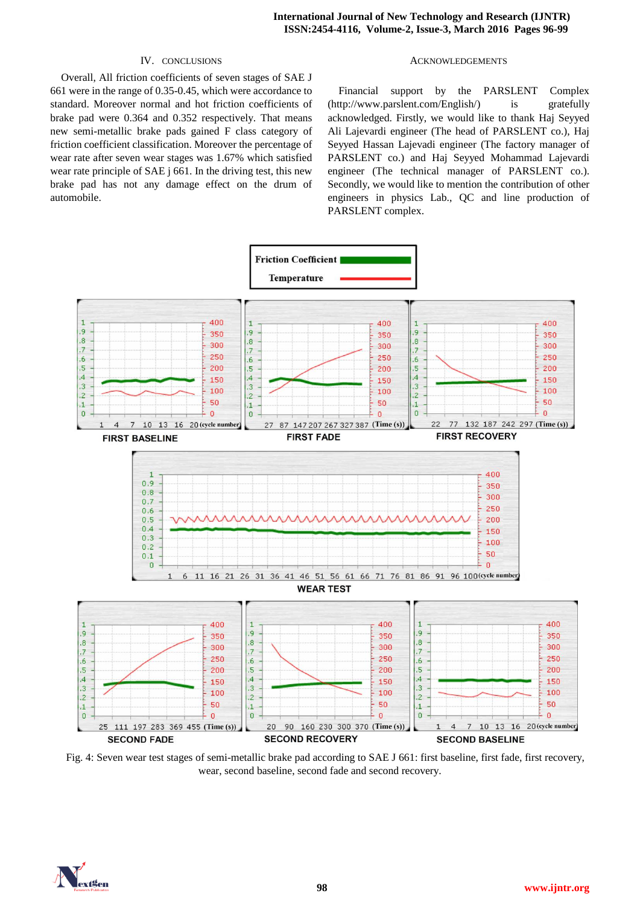## IV. CONCLUSIONS

Overall, All friction coefficients of seven stages of SAE J 661 were in the range of 0.35-0.45, which were accordance to standard. Moreover normal and hot friction coefficients of brake pad were 0.364 and 0.352 respectively. That means new semi-metallic brake pads gained F class category of friction coefficient classification. Moreover the percentage of wear rate after seven wear stages was 1.67% which satisfied wear rate principle of SAE j 661. In the driving test, this new brake pad has not any damage effect on the drum of automobile.

### ACKNOWLEDGEMENTS

Financial support by the PARSLENT Complex (http://www.parslent.com/English/) is gratefully acknowledged. Firstly, we would like to thank Haj Seyyed Ali Lajevardi engineer (The head of PARSLENT co.), Haj Seyyed Hassan Lajevadi engineer (The factory manager of PARSLENT co.) and Haj Seyyed Mohammad Lajevardi engineer (The technical manager of PARSLENT co.). Secondly, we would like to mention the contribution of other engineers in physics Lab., QC and line production of PARSLENT complex.



Fig. 4: Seven wear test stages of semi-metallic brake pad according to SAE J 661: first baseline, first fade, first recovery, wear, second baseline, second fade and second recovery.